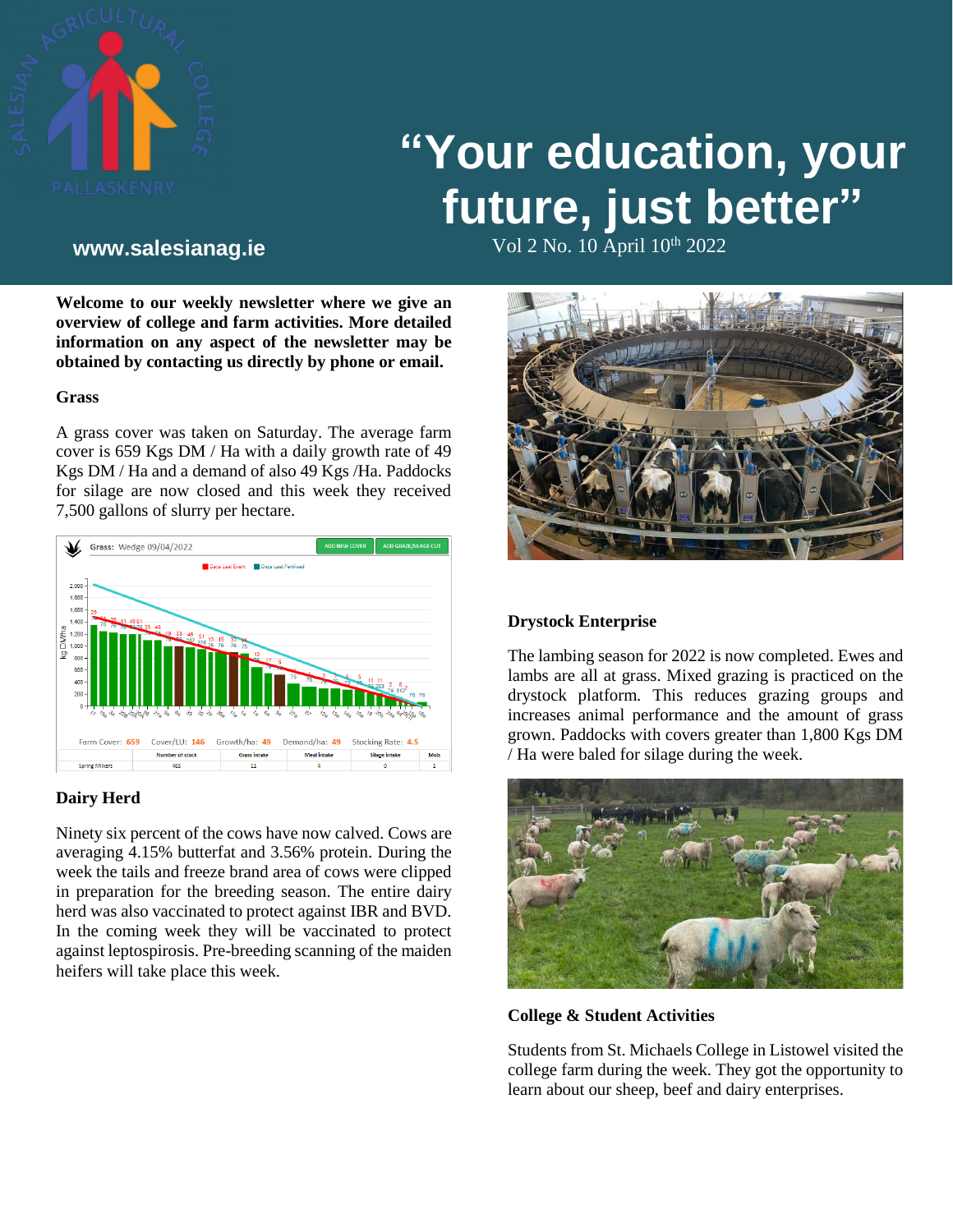

# **"Your education, your future, just better"**

Vol 2 No. 10 April 10th **www.salesianag.ie** 2022

**Welcome to our weekly newsletter where we give an overview of college and farm activities. More detailed information on any aspect of the newsletter may be obtained by contacting us directly by phone or email.**

#### **Grass**

A grass cover was taken on Saturday. The average farm cover is 659 Kgs DM / Ha with a daily growth rate of 49 Kgs DM / Ha and a demand of also 49 Kgs /Ha. Paddocks for silage are now closed and this week they received 7,500 gallons of slurry per hectare.



#### **Dairy Herd**

Ninety six percent of the cows have now calved. Cows are averaging 4.15% butterfat and 3.56% protein. During the week the tails and freeze brand area of cows were clipped in preparation for the breeding season. The entire dairy herd was also vaccinated to protect against IBR and BVD. In the coming week they will be vaccinated to protect against leptospirosis. Pre-breeding scanning of the maiden heifers will take place this week.



# **Drystock Enterprise**

The lambing season for 2022 is now completed. Ewes and lambs are all at grass. Mixed grazing is practiced on the drystock platform. This reduces grazing groups and increases animal performance and the amount of grass grown. Paddocks with covers greater than 1,800 Kgs DM / Ha were baled for silage during the week.



**College & Student Activities**

Students from St. Michaels College in Listowel visited the college farm during the week. They got the opportunity to learn about our sheep, beef and dairy enterprises.